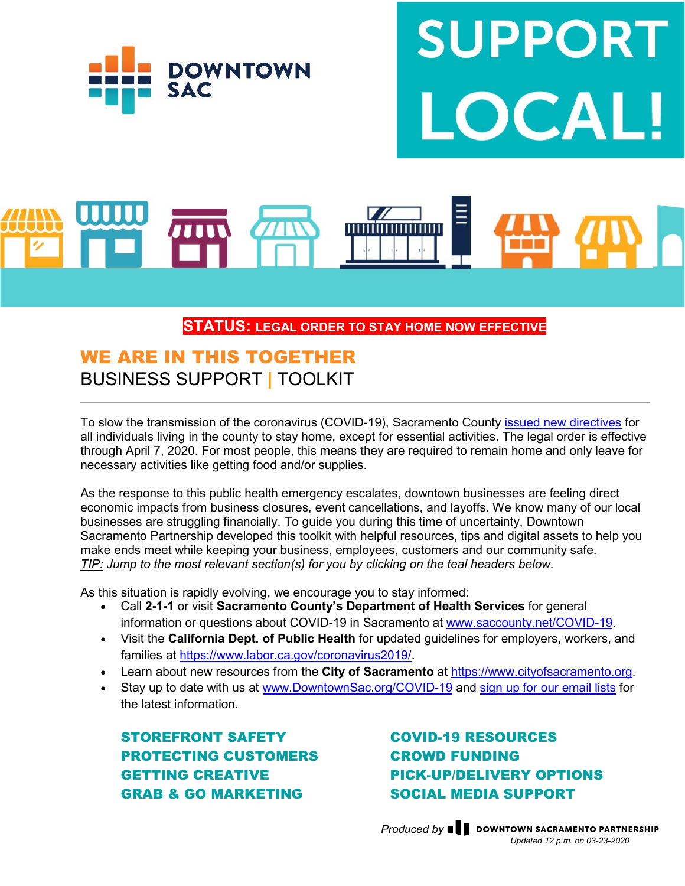

# **UPPOR**

## **STATUS: LEGAL ORDER TO STAY HOME NOW EFFECTIVE**

# WE ARE IN THIS TOGETHER BUSINESS SUPPORT **|** TOOLKIT

To slow the transmission of the coronavirus (COVID-19), Sacramento County [issued new directives](https://www.saccounty.net/COVID-19/Pages/default.aspx) for all individuals living in the county to stay home, except for essential activities. The legal order is effective through April 7, 2020. For most people, this means they are required to remain home and only leave for necessary activities like getting food and/or supplies.

As the response to this public health emergency escalates, downtown businesses are feeling direct economic impacts from business closures, event cancellations, and layoffs. We know many of our local businesses are struggling financially. To guide you during this time of uncertainty, Downtown Sacramento Partnership developed this toolkit with helpful resources, tips and digital assets to help you make ends meet while keeping your business, employees, customers and our community safe. *TIP: Jump to the most relevant section(s) for you by clicking on the teal headers below.*

As this situation is rapidly evolving, we encourage you to stay informed:

- Call **2-1-1** or visit **Sacramento County's Department of Health Services** for general information or questions about COVID-19 in Sacramento at [www.saccounty.net/COVID-19.](https://www.saccounty.net/COVID-19/Pages/default.aspx)
- Visit the **California Dept. of Public Health** for updated guidelines for employers, workers, and families at [https://www.labor.ca.gov/coronavirus2019/.](https://www.labor.ca.gov/coronavirus2019/)
- Learn about new resources from the **City of Sacramento** at [https://www.cityofsacramento.org.](https://www.cityofsacramento.org/Emergency-Management/COVID19)
- Stay up to date with us at [www.DowntownSac.org/COVID-19](http://www.downtownsac.org/COVID-19) and [sign up for our email lists](https://www.godowntownsac.com/downtown-in-your-inbox/) for the latest information.

[STOREFRONT SAFETY](#page-1-0) [PROTECTING CUSTOMERS](#page-3-0) [GETTING CREATIVE](#page-5-0) GRAB & GO MARKETING

[COVID-19 RESOURCES](#page-1-1) [CROWD FUNDING](#page-2-0) [PICK-UP/DELIVERY OPTIONS](#page-4-0) [SOCIAL MEDIA SUPPORT](#page-6-0)

*Produced by*  $\blacksquare$  *DOWNTOWN SACRAMENTO PARTNERSHIP Updated 12 p.m. on 03-23-2020*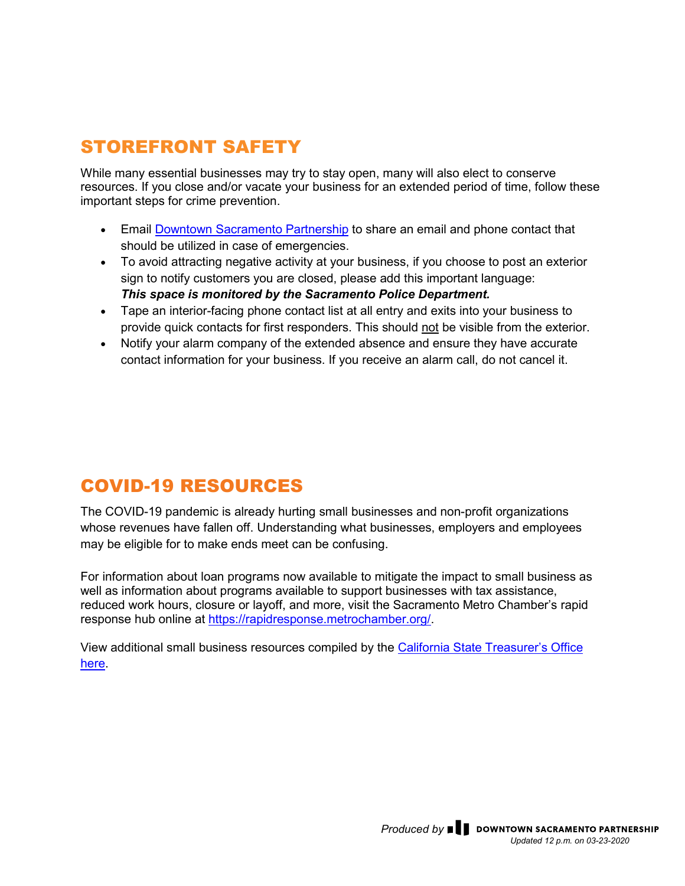# <span id="page-1-0"></span>STOREFRONT SAFETY

While many essential businesses may try to stay open, many will also elect to conserve resources. If you close and/or vacate your business for an extended period of time, follow these important steps for crime prevention.

- Email [Downtown Sacramento Partnership](mailto:dsp@downtownsac.org) to share an email and phone contact that should be utilized in case of emergencies.
- To avoid attracting negative activity at your business, if you choose to post an exterior sign to notify customers you are closed, please add this important language: *This space is monitored by the Sacramento Police Department.*
- Tape an interior-facing phone contact list at all entry and exits into your business to provide quick contacts for first responders. This should not be visible from the exterior.
- Notify your alarm company of the extended absence and ensure they have accurate contact information for your business. If you receive an alarm call, do not cancel it.

# <span id="page-1-1"></span>COVID-19 RESOURCES

The COVID-19 pandemic is already hurting small businesses and non-profit organizations whose revenues have fallen off. Understanding what businesses, employers and employees may be eligible for to make ends meet can be confusing.

For information about loan programs now available to mitigate the impact to small business as well as information about programs available to support businesses with tax assistance, reduced work hours, closure or layoff, and more, visit the Sacramento Metro Chamber's rapid response hub online at [https://rapidresponse.metrochamber.org/.](https://rapidresponse.metrochamber.org/)

View additional small business resources compiled by the [California State Treasurer's Office](https://docs.google.com/spreadsheets/d/1tYNAyRgzUfsAlLl7RJC0Ez_ClyyLXSsNWfB-1UPetQY/edit?usp=sharing)  [here.](https://docs.google.com/spreadsheets/d/1tYNAyRgzUfsAlLl7RJC0Ez_ClyyLXSsNWfB-1UPetQY/edit?usp=sharing)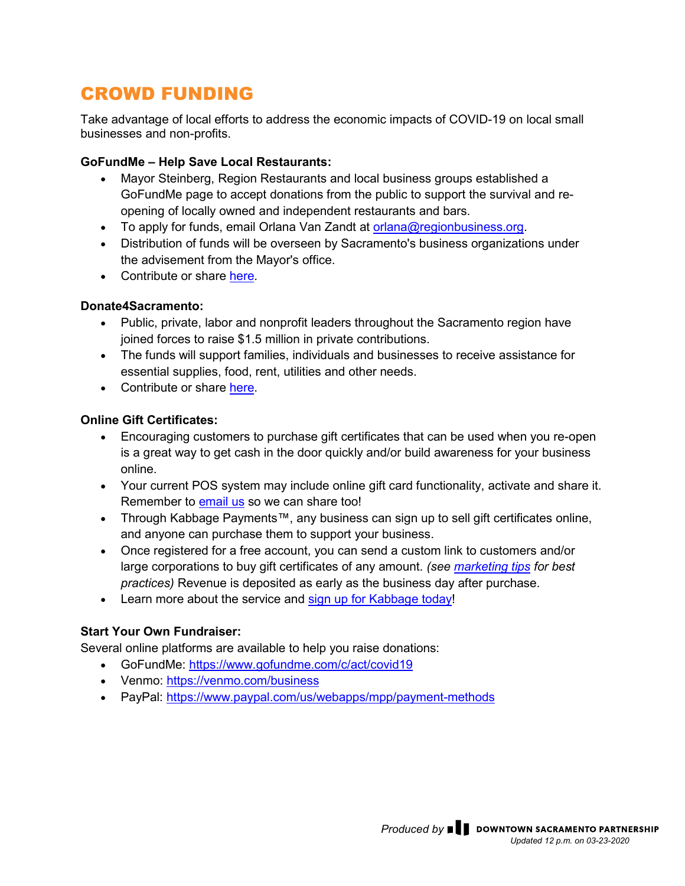# <span id="page-2-0"></span>CROWD FUNDING

Take advantage of local efforts to address the economic impacts of COVID-19 on local small businesses and non-profits.

### **GoFundMe – Help Save Local Restaurants:**

- Mayor Steinberg, Region Restaurants and local business groups established a GoFundMe page to accept donations from the public to support the survival and reopening of locally owned and independent restaurants and bars.
- To apply for funds, email Orlana Van Zandt at [orlana@regionbusiness.org.](mailto:orlana@regionbusiness.org)
- Distribution of funds will be overseen by Sacramento's business organizations under the advisement from the Mayor's office.
- Contribute or share [here.](https://www.gofundme.com/f/save-our-local-restaurants?utm_source=customer&utm_medium=copy_link-tip&utm_campaign=p_cp+share-sheet)

### **Donate4Sacramento:**

- Public, private, labor and nonprofit leaders throughout the Sacramento region have joined forces to raise \$1.5 million in private contributions.
- The funds will support families, individuals and businesses to receive assistance for essential supplies, food, rent, utilities and other needs.
- Contribute or share [here.](https://www.sierrahealth.org/donate4sacramento)

### **Online Gift Certificates:**

- Encouraging customers to purchase gift certificates that can be used when you re-open is a great way to get cash in the door quickly and/or build awareness for your business online.
- Your current POS system may include online gift card functionality, activate and share it. Remember to [email us](mailto:dsp@downtownsac.org?subject=I) so we can share too!
- Through Kabbage Payments™, any business can sign up to sell gift certificates online, and anyone can purchase them to support your business.
- Once registered for a free account, you can send a custom link to customers and/or large corporations to buy gift certificates of any amount. *(see [marketing tips](#page-5-0) for best practices)* Revenue is deposited as early as the business day after purchase.
- Learn more about the service and sign up [for Kabbage](https://www.kabbage.com/helpsmallbusiness?refid=prt_downtownsac_payments_gift&utm_source=downtownsac&utm_medium=partners&utm_campaign=payments-gift_20200318_downtownsac&utm_content=email) today!

### **Start Your Own Fundraiser:**

Several online platforms are available to help you raise donations:

- GoFundMe:<https://www.gofundme.com/c/act/covid19>
- Venmo:<https://venmo.com/business>
- PayPal:<https://www.paypal.com/us/webapps/mpp/payment-methods>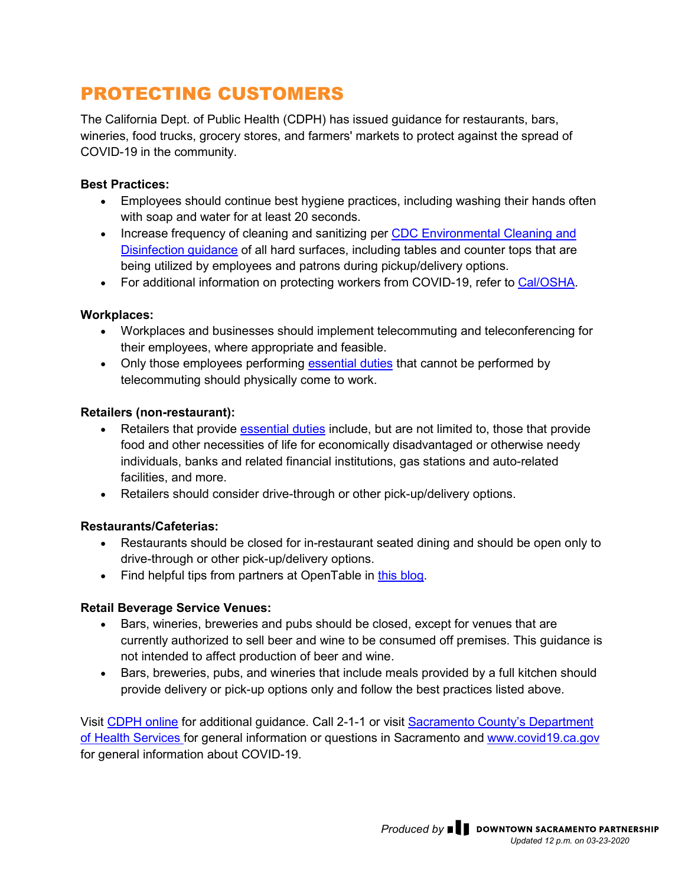# <span id="page-3-0"></span>PROTECTING CUSTOMERS

The California Dept. of Public Health (CDPH) has issued guidance for restaurants, bars, wineries, food trucks, grocery stores, and farmers' markets to protect against the spread of COVID-19 in the community.

### **Best Practices:**

- Employees should continue best hygiene practices, including washing their hands often with soap and water for at least 20 seconds.
- Increase frequency of cleaning and sanitizing per CDC Environmental Cleaning and [Disinfection guidance](https://www.cdc.gov/coronavirus/2019-ncov/prepare/cleaning-disinfection.html?CDC_AA_refVal=https%3A%2F%2Fwww.cdc.gov%2Fcoronavirus%2F2019-ncov%2Fcommunity%2Fhome%2Fcleaning-disinfection.html) of all hard surfaces, including tables and counter tops that are being utilized by employees and patrons during pickup/delivery options.
- For additional information on protecting workers from COVID-19, refer to [Cal/OSHA.](https://downtownsac.us13.list-manage.com/track/click?u=6b92ca741dc97a1e3933d8cb4&id=c07e080ad5&e=d293afb1ba)

### **Workplaces:**

- Workplaces and businesses should implement telecommuting and teleconferencing for their employees, where appropriate and feasible.
- Only those employees performing [essential duties](https://www.saccounty.net/COVID-19/Pages/default.aspx) that cannot be performed by telecommuting should physically come to work.

### **Retailers (non-restaurant):**

- Retailers that provide [essential duties](https://www.saccounty.net/COVID-19/Pages/default.aspx) include, but are not limited to, those that provide food and other necessities of life for economically disadvantaged or otherwise needy individuals, banks and related financial institutions, gas stations and auto-related facilities, and more.
- Retailers should consider drive-through or other pick-up/delivery options.

### **Restaurants/Cafeterias:**

- Restaurants should be closed for in-restaurant seated dining and should be open only to drive-through or other pick-up/delivery options.
- Find helpful tips from partners at OpenTable in [this blog.](https://restaurant.opentable.com/preparedness-resource-center/)

### **Retail Beverage Service Venues:**

- Bars, wineries, breweries and pubs should be closed, except for venues that are currently authorized to sell beer and wine to be consumed off premises. This guidance is not intended to affect production of beer and wine.
- Bars, breweries, pubs, and wineries that include meals provided by a full kitchen should provide delivery or pick-up options only and follow the best practices listed above.

Visit [CDPH online](https://www.cdph.ca.gov/Programs/OPA/Pages/NR20-024.aspx) for additional guidance. Call 2-1-1 or visit [Sacramento County's Department](https://downtownsac.us13.list-manage.com/track/click?u=6b92ca741dc97a1e3933d8cb4&id=3585cffecf&e=d293afb1ba)  [of Health Services](https://downtownsac.us13.list-manage.com/track/click?u=6b92ca741dc97a1e3933d8cb4&id=3585cffecf&e=d293afb1ba) for general information or questions in Sacramento and [www.covid19.ca.gov](https://covid19.ca.gov/) for general information about COVID-19.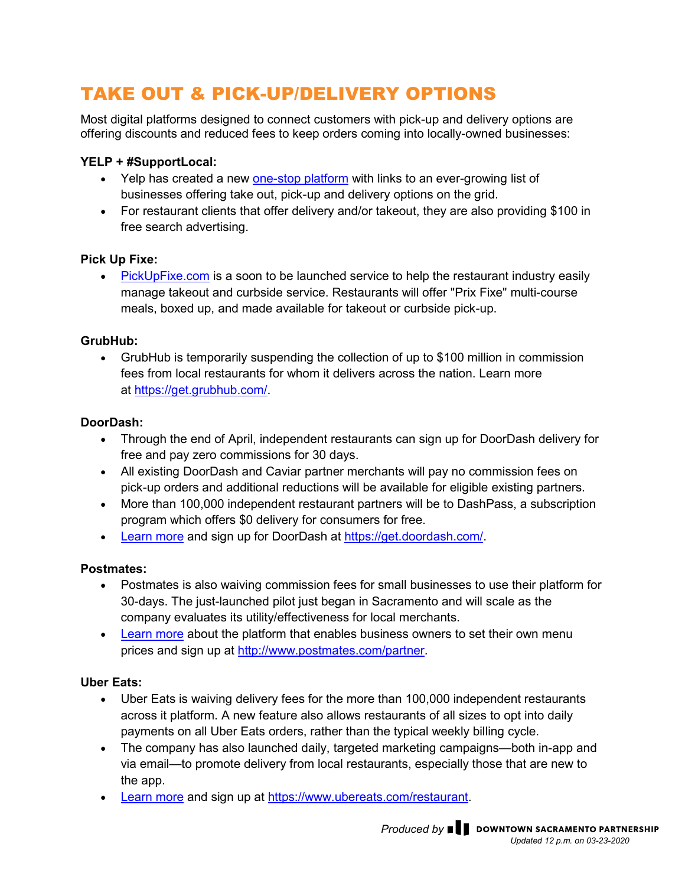# <span id="page-4-0"></span>TAKE OUT & PICK-UP/DELIVERY OPTIONS

Most digital platforms designed to connect customers with pick-up and delivery options are offering discounts and reduced fees to keep orders coming into locally-owned businesses:

### **YELP + #SupportLocal:**

- Yelp has created a new [one-stop platform](https://www.yelp.com/collection/F6m94rYG6qashYIHtMLUbg) with links to an ever-growing list of businesses offering take out, pick-up and delivery options on the grid.
- For restaurant clients that offer delivery and/or takeout, they are also providing \$100 in free search advertising.

### **Pick Up Fixe:**

• [PickUpFixe.com](https://pickupfixe.com/signup/) is a soon to be launched service to help the restaurant industry easily manage takeout and curbside service. Restaurants will offer "Prix Fixe" multi-course meals, boxed up, and made available for takeout or curbside pick-up.

### **GrubHub:**

• GrubHub is temporarily suspending the collection of up to \$100 million in commission fees from local restaurants for whom it delivers across the nation. Learn more at [https://get.grubhub.com/.](https://get.grubhub.com/)

### **DoorDash:**

- Through the end of April, independent restaurants can sign up for DoorDash delivery for free and pay zero commissions for 30 days.
- All existing DoorDash and Caviar partner merchants will pay no commission fees on pick-up orders and additional reductions will be available for eligible existing partners.
- More than 100,000 independent restaurant partners will be to DashPass, a subscription program which offers \$0 delivery for consumers for free.
- [Learn](https://blog.doordash.com/supporting-local-businesses-and-communities-in-a-time-of-need-41c0742fbc03) more and sign up for DoorDash at [https://get.doordash.com/.](https://get.doordash.com/)

### **Postmates:**

- Postmates is also waiving commission fees for small businesses to use their platform for 30-days. The just-launched pilot just began in Sacramento and will scale as the company evaluates its utility/effectiveness for local merchants.
- [Learn more](https://blog.postmates.com/postmates-unveils-measures-for-couriers-and-merchants-in-response-to-covid-19-1ce40cb53cbc) about the platform that enables business owners to set their own menu prices and sign up at [http://www.postmates.com/partner.](http://www.postmates.com/partner)

### **Uber Eats:**

- Uber Eats is waiving delivery fees for the more than 100,000 independent restaurants across it platform. A new feature also allows restaurants of all sizes to opt into daily payments on all Uber Eats orders, rather than the typical weekly billing cycle.
- The company has also launched daily, targeted marketing campaigns—both in-app and via email—to promote delivery from local restaurants, especially those that are new to the app.
- [Learn more](https://www.uber.com/newsroom/food-not-finances/?_ga=2.44494432.597658477.1584565819-1889941954.1584565819) and sign up at [https://www.ubereats.com/restaurant.](https://www.ubereats.com/restaurant/en-US/signup)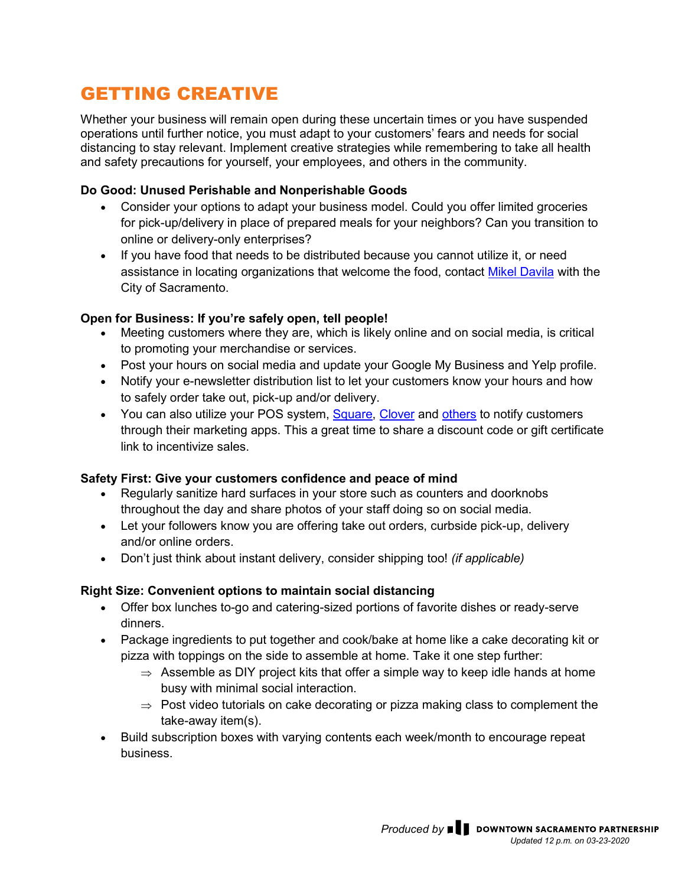# <span id="page-5-0"></span>GETTING CREATIVE

Whether your business will remain open during these uncertain times or you have suspended operations until further notice, you must adapt to your customers' fears and needs for social distancing to stay relevant. Implement creative strategies while remembering to take all health and safety precautions for yourself, your employees, and others in the community.

### **Do Good: Unused Perishable and Nonperishable Goods**

- Consider your options to adapt your business model. Could you offer limited groceries for pick-up/delivery in place of prepared meals for your neighbors? Can you transition to online or delivery-only enterprises?
- If you have food that needs to be distributed because you cannot utilize it, or need assistance in locating organizations that welcome the food, contact [Mikel Davila](mailto:MDavila@cityofsacramento.org) with the City of Sacramento.

### **Open for Business: If you're safely open, tell people!**

- Meeting customers where they are, which is likely online and on social media, is critical to promoting your merchandise or services.
- Post your hours on social media and update your Google My Business and Yelp profile.
- Notify your e-newsletter distribution list to let your customers know your hours and how to safely order take out, pick-up and/or delivery.
- You can also utilize your POS system, [Square,](https://squareup.com/us/en/software/marketing) [Clover](https://www.clover.com/pos-systems/small-business-crm) and [others](http://www.posportal.com/my-business/) to notify customers through their marketing apps. This a great time to share a discount code or gift certificate link to incentivize sales.

### **Safety First: Give your customers confidence and peace of mind**

- Regularly sanitize hard surfaces in your store such as counters and doorknobs throughout the day and share photos of your staff doing so on social media.
- Let your followers know you are offering take out orders, curbside pick-up, delivery and/or online orders.
- Don't just think about instant delivery, consider shipping too! *(if applicable)*

### **Right Size: Convenient options to maintain social distancing**

- Offer box lunches to-go and catering-sized portions of favorite dishes or ready-serve dinners.
- Package ingredients to put together and cook/bake at home like a cake decorating kit or pizza with toppings on the side to assemble at home. Take it one step further:
	- $\Rightarrow$  Assemble as DIY project kits that offer a simple way to keep idle hands at home busy with minimal social interaction.
	- $\Rightarrow$  Post video tutorials on cake decorating or pizza making class to complement the take-away item(s).
- Build subscription boxes with varying contents each week/month to encourage repeat business.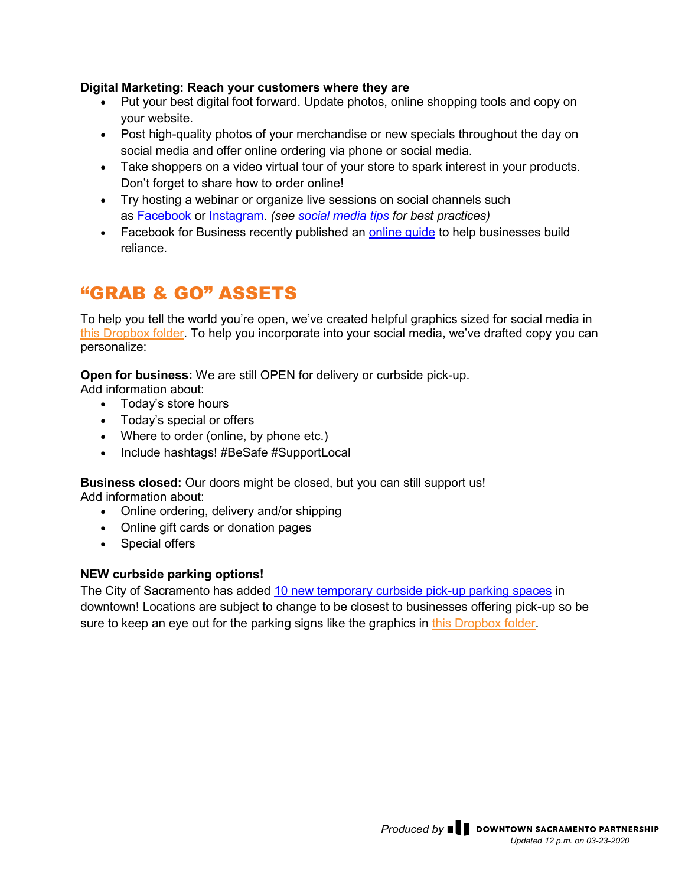### **Digital Marketing: Reach your customers where they are**

- Put your best digital foot forward. Update photos, online shopping tools and copy on your website.
- Post high-quality photos of your merchandise or new specials throughout the day on social media and offer online ordering via phone or social media.
- Take shoppers on a video virtual tour of your store to spark interest in your products. Don't forget to share how to order online!
- Try hosting a webinar or organize live sessions on social channels such as [Facebook](https://www.facebook.com/) or [Instagram.](https://www.instagram.com/?fbclid=IwAR0Q43HwSrDuZ2X3cA05EDb5KEaz6fAJNYuXqckpiAJsIWUVNCW2wZt7HDc) *(see [social media tips](#page-6-0) for best practices)*
- Facebook for Business recently published an [online guide](https://www.facebook.com/business/boost/resource?ref=fbb_home_carousel) to help businesses build reliance.

# "GRAB & GO" ASSETS

To help you tell the world you're open, we've created helpful graphics sized for social media in [this Dropbox folder.](https://www.dropbox.com/sh/o1oxb5cy0a7b3iv/AADMdkzX_j0PlR_O06Fo244ia?dl=0) To help you incorporate into your social media, we've drafted copy you can personalize:

**Open for business:** We are still OPEN for delivery or curbside pick-up.

Add information about:

- Today's store hours
- Today's special or offers
- Where to order (online, by phone etc.)
- Include hashtags! #BeSafe #SupportLocal

**Business closed:** Our doors might be closed, but you can still support us! Add information about:

- Online ordering, delivery and/or shipping
- Online gift cards or donation pages
- <span id="page-6-0"></span>• Special offers

### **NEW curbside parking options!**

The City of Sacramento has added [10 new temporary curbside pick-up parking spaces](https://www.godowntownsac.com/announcements/how-to-stay-safe-and-support-downtown-sacramento-businesses/) in downtown! Locations are subject to change to be closest to businesses offering pick-up so be sure to keep an eye out for the parking signs like the graphics in [this Dropbox folder.](https://www.dropbox.com/sh/o1oxb5cy0a7b3iv/AADMdkzX_j0PlR_O06Fo244ia?dl=0)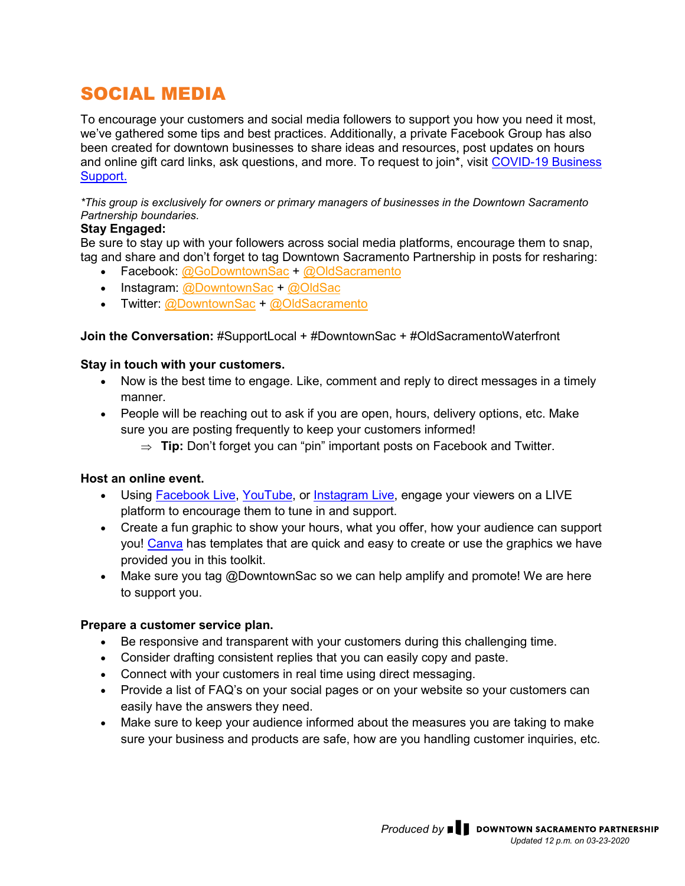# SOCIAL MEDIA

To encourage your customers and social media followers to support you how you need it most, we've gathered some tips and best practices. Additionally, a private Facebook Group has also been created for downtown businesses to share ideas and resources, post updates on hours and online gift card links, ask questions, and more. To request to join\*, visit [COVID-19 Business](https://www.facebook.com/groups/2587269808185241/)  [Support.](https://www.facebook.com/groups/2587269808185241/)

*\*This group is exclusively for owners or primary managers of businesses in the Downtown Sacramento Partnership boundaries.* 

### **Stay Engaged:**

Be sure to stay up with your followers across social media platforms, encourage them to snap, tag and share and don't forget to tag Downtown Sacramento Partnership in posts for resharing:

- Facebook: [@GoDowntownSac](https://www.facebook.com/GoDowntownSac/) + [@OldSacramento](https://www.facebook.com/OldSacramento/)
- Instagram: [@DowntownSac](https://www.instagram.com/downtownsac/) + [@OldSac](https://www.instagram.com/oldsac/)
- Twitter: [@DowntownSac](https://twitter.com/DowntownSac) + [@OldSacramento](https://twitter.com/oldsacramento)

**Join the Conversation:** #SupportLocal + #DowntownSac + #OldSacramentoWaterfront

### **Stay in touch with your customers.**

- Now is the best time to engage. Like, comment and reply to direct messages in a timely manner.
- People will be reaching out to ask if you are open, hours, delivery options, etc. Make sure you are posting frequently to keep your customers informed!
	- ⇒ **Tip:** Don't forget you can "pin" important posts on Facebook and Twitter.

### **Host an online event.**

- Using [Facebook Live,](https://www.facebook.com/facebookmedia/solutions/facebook-live) [YouTube,](https://support.google.com/youtube/answer/57407?co=GENIE.Platform%3DDesktop&hl=en) or [Instagram Live,](https://help.instagram.com/292478487812558) engage your viewers on a LIVE platform to encourage them to tune in and support.
- Create a fun graphic to show your hours, what you offer, how your audience can support you! [Canva](https://www.canva.com/) has templates that are quick and easy to create or use the graphics we have provided you in this toolkit.
- Make sure you tag @DowntownSac so we can help amplify and promote! We are here to support you.

### **Prepare a customer service plan.**

- Be responsive and transparent with your customers during this challenging time.
- Consider drafting consistent replies that you can easily copy and paste.
- Connect with your customers in real time using direct messaging.
- Provide a list of FAQ's on your social pages or on your website so your customers can easily have the answers they need.
- Make sure to keep your audience informed about the measures you are taking to make sure your business and products are safe, how are you handling customer inquiries, etc.